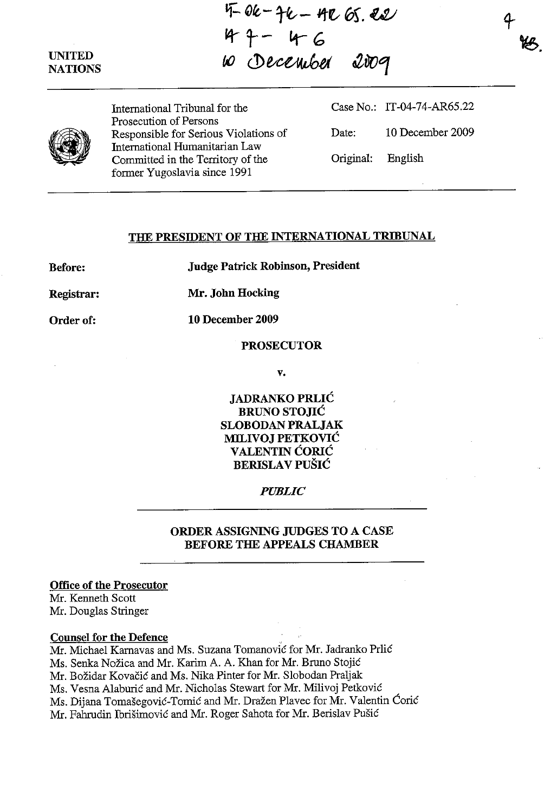## **UNITED NATIONS**

tf- ~ft, - ~ **- ltt- GS". w**   $4 + -46$ (,() cD e,,~ti **aZvoOf** 



 $\bigcirc$ 

International Tribunal for the Prosecution of Persons Responsible for Serious Violations of International Humanitarian Law *Committed* in the Territory of the former Yugoslavia since 1991

Case No.: IT-04-74-AR6S.22 Date: 10 December 2009 Original: English

## **THE PRESIDENT OF THE INTERNATIONAL TRIBUNAL**

**Before:** 

**Judge Patrick Robinson, President** 

**Registrar: Mr. John Hocking** 

**Order of:** 

**10 December 2009** 

#### **PROSECUTOR**

**v.** 

**JADRANKO PRLIC BRUNO STOJIC SLOBODAN PRALJAK MILIVOJ PETKOVIC V ALENTIN CORIC BERISLA V PUSIC** 

### *PUBLIC*

### **ORDER ASSIGNING JUDGES TO A CASE BEFORE THE APPEALS CHAMBER**

#### **Office of the Prosecutor**

Mr. Kenneth Scott Mr. Douglas Stringer

### **Counsel for the Defence**

Mr. Michael Karnavas and Ms. Suzana Tomanović for Mr. Jadranko Prlić Ms. Senka Nožica and Mr. Karim A. A. Khan for Mr. Bruno Stojić Mr. Božidar Kovačić and Ms. Nika Pinter for Mr. Slobodan Praljak Ms. Vesna Alaburić and Mr. Nicholas Stewart for Mr. Milivoj Petković Ms. Dijana Tomašegović-Tomić and Mr. Dražen Plavec for Mr. Valentin Ćorić Mr. Fahrudin Ibrisimovic and Mr. Roger Sahota for Mr. Berislav Pusic